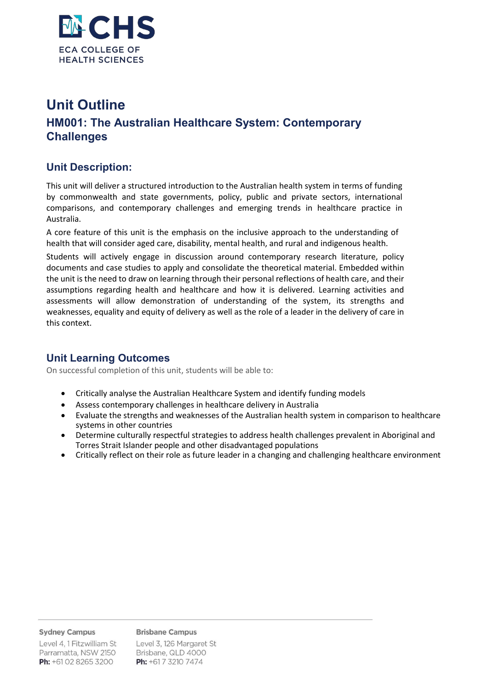

# **Unit Outline HM001: The Australian Healthcare System: Contemporary Challenges**

#### **Unit Description:**

This unit will deliver a structured introduction to the Australian health system in terms of funding by commonwealth and state governments, policy, public and private sectors, international comparisons, and contemporary challenges and emerging trends in healthcare practice in Australia.

A core feature of this unit is the emphasis on the inclusive approach to the understanding of health that will consider aged care, disability, mental health, and rural and indigenous health.

Students will actively engage in discussion around contemporary research literature, policy documents and case studies to apply and consolidate the theoretical material. Embedded within the unit is the need to draw on learning through their personal reflections of health care, and their assumptions regarding health and healthcare and how it is delivered. Learning activities and assessments will allow demonstration of understanding of the system, its strengths and weaknesses, equality and equity of delivery as well as the role of a leader in the delivery of care in this context.

### **Unit Learning Outcomes**

On successful completion of this unit, students will be able to:

- Critically analyse the Australian Healthcare System and identify funding models
- Assess contemporary challenges in healthcare delivery in Australia
- Evaluate the strengths and weaknesses of the Australian health system in comparison to healthcare systems in other countries
- Determine culturally respectful strategies to address health challenges prevalent in Aboriginal and Torres Strait Islander people and other disadvantaged populations
- Critically reflect on their role as future leader in a changing and challenging healthcare environment

#### **Sydney Campus**

**Brisbane Campus** 

Level 4, 1 Fitzwilliam St Parramatta, NSW 2150 **Ph:** +61 02 8265 3200

Level 3, 126 Margaret St Brisbane, QLD 4000 Ph: +61 7 3210 7474